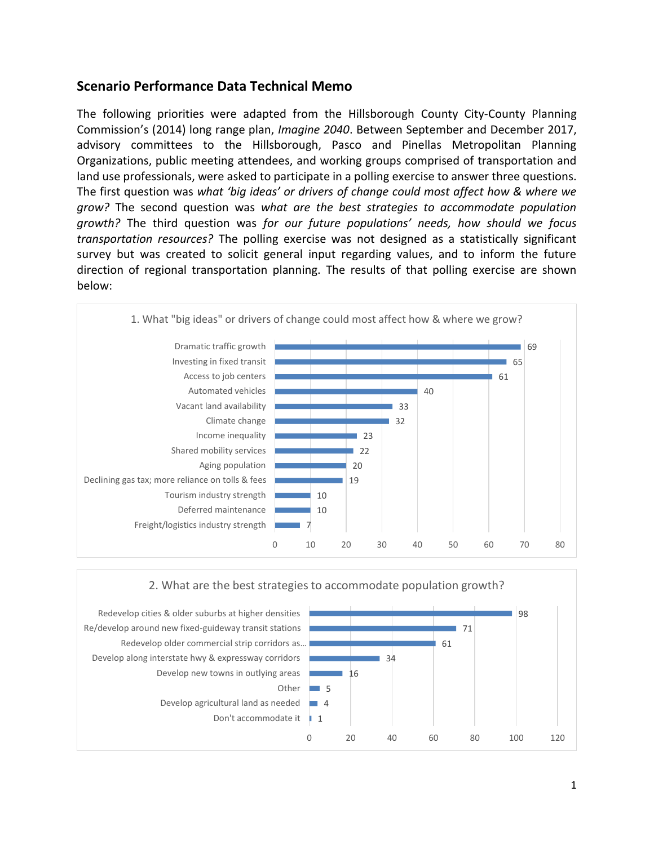## **Scenario Performance Data Technical Memo**

The following priorities were adapted from the Hillsborough County City-County Planning Commission's (2014) long range plan, *Imagine 2040*. Between September and December 2017, advisory committees to the Hillsborough, Pasco and Pinellas Metropolitan Planning Organizations, public meeting attendees, and working groups comprised of transportation and land use professionals, were asked to participate in a polling exercise to answer three questions. The first question was *what 'big ideas' or drivers of change could most affect how & where we grow?* The second question was *what are the best strategies to accommodate population growth?* The third question was *for our future populations' needs, how should we focus transportation resources?* The polling exercise was not designed as a statistically significant survey but was created to solicit general input regarding values, and to inform the future direction of regional transportation planning. The results of that polling exercise are shown below:



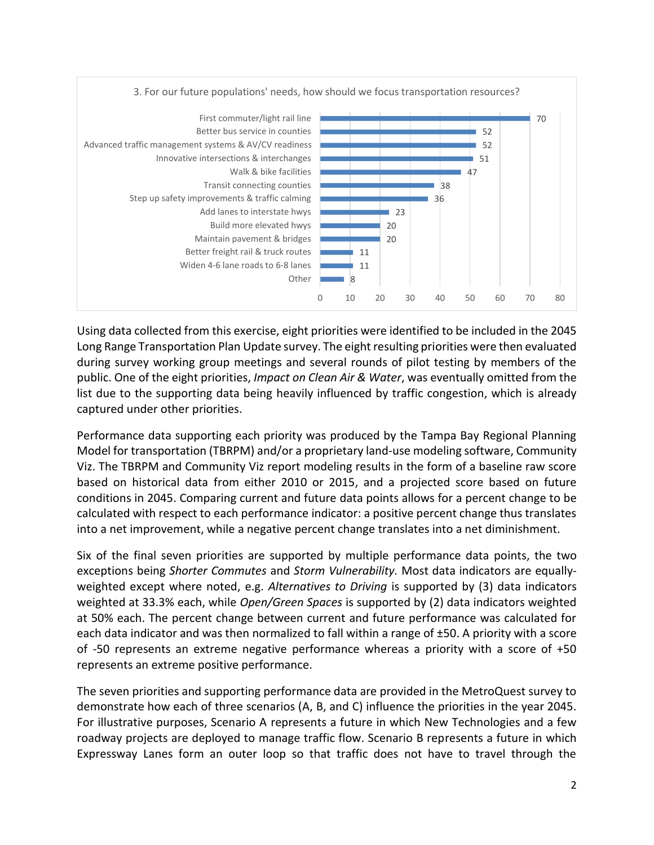

Using data collected from this exercise, eight priorities were identified to be included in the 2045 Long Range Transportation Plan Update survey. The eight resulting priorities were then evaluated during survey working group meetings and several rounds of pilot testing by members of the public. One of the eight priorities, *Impact on Clean Air & Water*, was eventually omitted from the list due to the supporting data being heavily influenced by traffic congestion, which is already captured under other priorities.

Performance data supporting each priority was produced by the Tampa Bay Regional Planning Model for transportation (TBRPM) and/or a proprietary land-use modeling software, Community Viz. The TBRPM and Community Viz report modeling results in the form of a baseline raw score based on historical data from either 2010 or 2015, and a projected score based on future conditions in 2045. Comparing current and future data points allows for a percent change to be calculated with respect to each performance indicator: a positive percent change thus translates into a net improvement, while a negative percent change translates into a net diminishment.

Six of the final seven priorities are supported by multiple performance data points, the two exceptions being *Shorter Commutes* and *Storm Vulnerability.* Most data indicators are equallyweighted except where noted, e.g. *Alternatives to Driving* is supported by (3) data indicators weighted at 33.3% each, while *Open/Green Spaces* is supported by (2) data indicators weighted at 50% each. The percent change between current and future performance was calculated for each data indicator and was then normalized to fall within a range of ±50. A priority with a score of -50 represents an extreme negative performance whereas a priority with a score of +50 represents an extreme positive performance.

The seven priorities and supporting performance data are provided in the MetroQuest survey to demonstrate how each of three scenarios (A, B, and C) influence the priorities in the year 2045. For illustrative purposes, Scenario A represents a future in which New Technologies and a few roadway projects are deployed to manage traffic flow. Scenario B represents a future in which Expressway Lanes form an outer loop so that traffic does not have to travel through the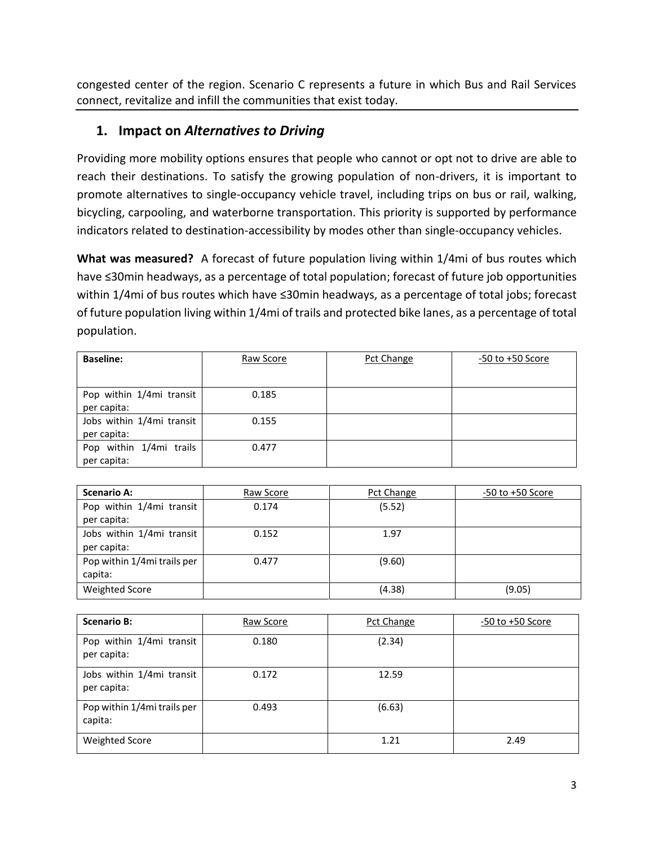congested center of the region. Scenario C represents a future in which Bus and Rail Services connect, revitalize and infill the communities that exist today.

## **1. Impact on** *Alternatives to Driving*

Providing more mobility options ensures that people who cannot or opt not to drive are able to reach their destinations. To satisfy the growing population of non-drivers, it is important to promote alternatives to single-occupancy vehicle travel, including trips on bus or rail, walking, bicycling, carpooling, and waterborne transportation. This priority is supported by performance indicators related to destination-accessibility by modes other than single-occupancy vehicles.

**What was measured?** A forecast of future population living within 1/4mi of bus routes which have ≤30min headways, as a percentage of total population; forecast of future job opportunities within 1/4mi of bus routes which have ≤30min headways, as a percentage of total jobs; forecast of future population living within 1/4mi of trails and protected bike lanes, as a percentage of total population.

| <b>Baseline:</b>          | Raw Score | Pct Change | $-50$ to $+50$ Score |
|---------------------------|-----------|------------|----------------------|
|                           |           |            |                      |
| Pop within 1/4mi transit  | 0.185     |            |                      |
| per capita:               |           |            |                      |
| Jobs within 1/4mi transit | 0.155     |            |                      |
| per capita:               |           |            |                      |
| Pop within 1/4mi trails   | 0.477     |            |                      |
| per capita:               |           |            |                      |

| <b>Scenario A:</b>          | Raw Score | Pct Change | $-50$ to $+50$ Score |
|-----------------------------|-----------|------------|----------------------|
| Pop within 1/4mi transit    | 0.174     | (5.52)     |                      |
| per capita:                 |           |            |                      |
| Jobs within 1/4mi transit   | 0.152     | 1.97       |                      |
| per capita:                 |           |            |                      |
| Pop within 1/4mi trails per | 0.477     | (9.60)     |                      |
| capita:                     |           |            |                      |
| <b>Weighted Score</b>       |           | (4.38)     | (9.05)               |

| <b>Scenario B:</b>                       | Raw Score | Pct Change | $-50$ to $+50$ Score |
|------------------------------------------|-----------|------------|----------------------|
| Pop within 1/4mi transit<br>per capita:  | 0.180     | (2.34)     |                      |
| Jobs within 1/4mi transit<br>per capita: | 0.172     | 12.59      |                      |
| Pop within 1/4mi trails per<br>capita:   | 0.493     | (6.63)     |                      |
| <b>Weighted Score</b>                    |           | 1.21       | 2.49                 |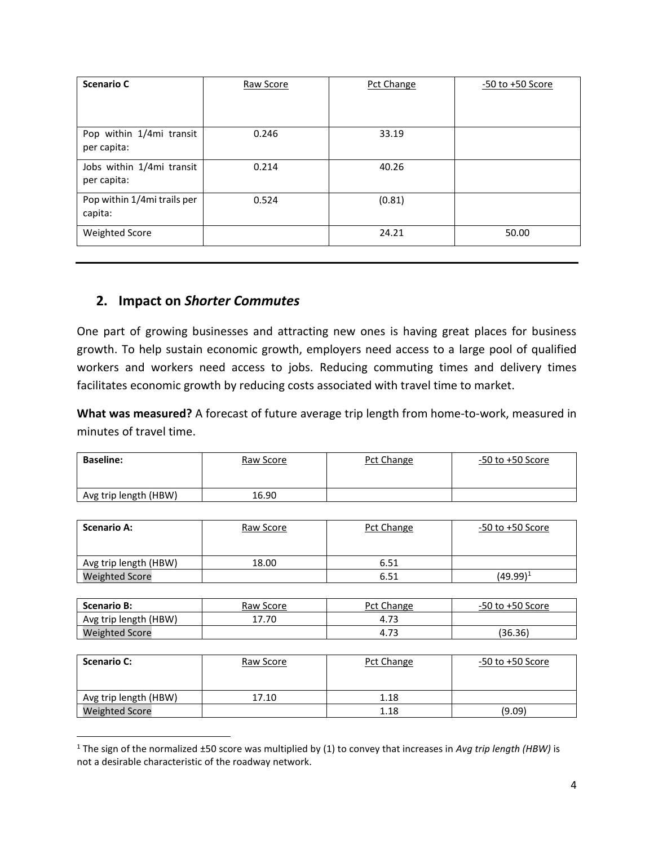| <b>Scenario C</b>                        | Raw Score | Pct Change | $-50$ to $+50$ Score |
|------------------------------------------|-----------|------------|----------------------|
| Pop within 1/4mi transit<br>per capita:  | 0.246     | 33.19      |                      |
| Jobs within 1/4mi transit<br>per capita: | 0.214     | 40.26      |                      |
| Pop within 1/4mi trails per<br>capita:   | 0.524     | (0.81)     |                      |
| <b>Weighted Score</b>                    |           | 24.21      | 50.00                |

### **2. Impact on** *Shorter Commutes*

 $\overline{\phantom{a}}$ 

One part of growing businesses and attracting new ones is having great places for business growth. To help sustain economic growth, employers need access to a large pool of qualified workers and workers need access to jobs. Reducing commuting times and delivery times facilitates economic growth by reducing costs associated with travel time to market.

**What was measured?** A forecast of future average trip length from home-to-work, measured in minutes of travel time.

| <b>Baseline:</b>      | Raw Score | Pct Change | $-50$ to $+50$ Score |
|-----------------------|-----------|------------|----------------------|
| Avg trip length (HBW) | 16.90     |            |                      |

| <b>Scenario A:</b>    | Raw Score | Pct Change | $-50$ to $+50$ Score |
|-----------------------|-----------|------------|----------------------|
| Avg trip length (HBW) | 18.00     | 6.51       |                      |
| <b>Weighted Score</b> |           | 6.51       | $(49.99)^1$          |

| <b>Scenario B:</b>    | Raw Score | Pct Change | $-50$ to $+50$ Score |
|-----------------------|-----------|------------|----------------------|
| Avg trip length (HBW) | 17.70     | 4.73       |                      |
| <b>Weighted Score</b> |           | 4.73       | 36.36)               |

| <b>Scenario C:</b>    | Raw Score | Pct Change | $-50$ to $+50$ Score |
|-----------------------|-----------|------------|----------------------|
| Avg trip length (HBW) | 17.10     | 1.18       |                      |
| <b>Weighted Score</b> |           | 1.18       | (9.09)               |

<sup>1</sup> The sign of the normalized ±50 score was multiplied by (1) to convey that increases in *Avg trip length (HBW)* is not a desirable characteristic of the roadway network.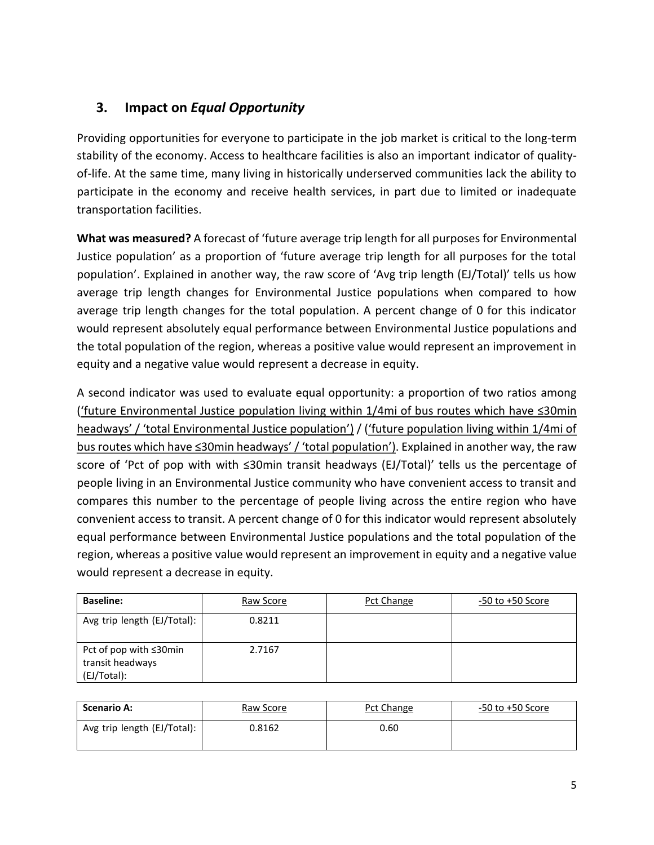# **3. Impact on** *Equal Opportunity*

Providing opportunities for everyone to participate in the job market is critical to the long-term stability of the economy. Access to healthcare facilities is also an important indicator of qualityof-life. At the same time, many living in historically underserved communities lack the ability to participate in the economy and receive health services, in part due to limited or inadequate transportation facilities.

**What was measured?** A forecast of 'future average trip length for all purposes for Environmental Justice population' as a proportion of 'future average trip length for all purposes for the total population'. Explained in another way, the raw score of 'Avg trip length (EJ/Total)' tells us how average trip length changes for Environmental Justice populations when compared to how average trip length changes for the total population. A percent change of 0 for this indicator would represent absolutely equal performance between Environmental Justice populations and the total population of the region, whereas a positive value would represent an improvement in equity and a negative value would represent a decrease in equity.

A second indicator was used to evaluate equal opportunity: a proportion of two ratios among ('future Environmental Justice population living within 1/4mi of bus routes which have ≤30min headways' / 'total Environmental Justice population') / ('future population living within 1/4mi of bus routes which have ≤30min headways' / 'total population'). Explained in another way, the raw score of 'Pct of pop with with ≤30min transit headways (EJ/Total)' tells us the percentage of people living in an Environmental Justice community who have convenient access to transit and compares this number to the percentage of people living across the entire region who have convenient access to transit. A percent change of 0 for this indicator would represent absolutely equal performance between Environmental Justice populations and the total population of the region, whereas a positive value would represent an improvement in equity and a negative value would represent a decrease in equity.

| <b>Baseline:</b>                                          | Raw Score | Pct Change | $-50$ to $+50$ Score |
|-----------------------------------------------------------|-----------|------------|----------------------|
| Avg trip length (EJ/Total):                               | 0.8211    |            |                      |
| Pct of pop with ≤30min<br>transit headways<br>(EJ/Total): | 2.7167    |            |                      |

| <b>Scenario A:</b>          | Raw Score | Pct Change | -50 to +50 Score |
|-----------------------------|-----------|------------|------------------|
| Avg trip length (EJ/Total): | 0.8162    | 0.60       |                  |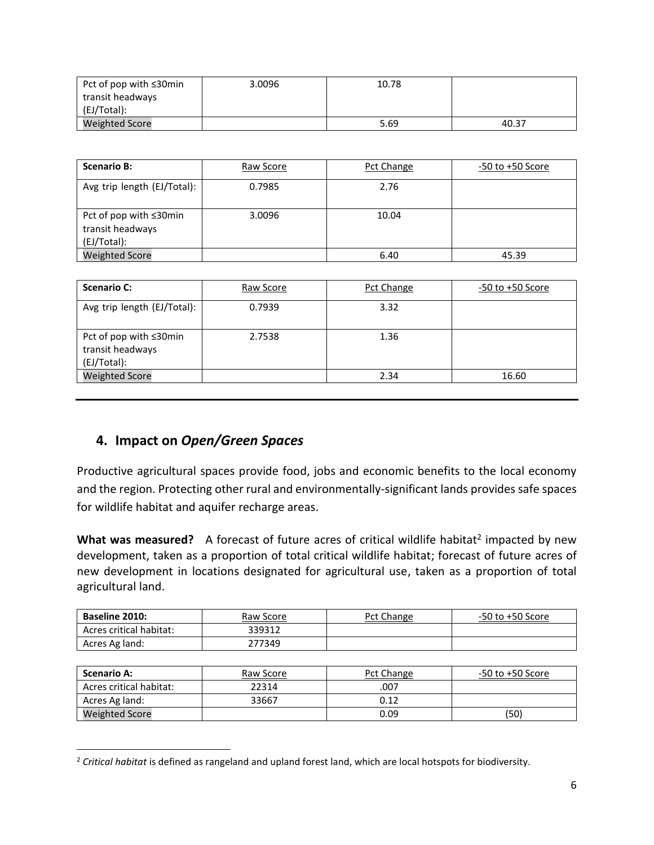| Pct of pop with ≤30min | 3.0096 | 10.78 |       |
|------------------------|--------|-------|-------|
| transit headways       |        |       |       |
| (EJ/Total):            |        |       |       |
| <b>Weighted Score</b>  |        | 5.69  | 40.37 |

| <b>Scenario B:</b>                                        | Raw Score | Pct Change | $-50$ to $+50$ Score |
|-----------------------------------------------------------|-----------|------------|----------------------|
| Avg trip length (EJ/Total):                               | 0.7985    | 2.76       |                      |
| Pct of pop with ≤30min<br>transit headways<br>(EJ/Total): | 3.0096    | 10.04      |                      |
| <b>Weighted Score</b>                                     |           | 6.40       | 45.39                |

| <b>Scenario C:</b>                                        | Raw Score | Pct Change | $-50$ to $+50$ Score |
|-----------------------------------------------------------|-----------|------------|----------------------|
| Avg trip length (EJ/Total):                               | 0.7939    | 3.32       |                      |
| Pct of pop with ≤30min<br>transit headways<br>(EJ/Total): | 2.7538    | 1.36       |                      |
| <b>Weighted Score</b>                                     |           | 2.34       | 16.60                |

## **4. Impact on** *Open/Green Spaces*

 $\overline{\phantom{a}}$ 

Productive agricultural spaces provide food, jobs and economic benefits to the local economy and the region. Protecting other rural and environmentally-significant lands provides safe spaces for wildlife habitat and aquifer recharge areas.

What was measured? A forecast of future acres of critical wildlife habitat<sup>2</sup> impacted by new development, taken as a proportion of total critical wildlife habitat; forecast of future acres of new development in locations designated for agricultural use, taken as a proportion of total agricultural land.

| <b>Baseline 2010:</b>   | Raw Score | Pct Change | -50 to +50 Score |
|-------------------------|-----------|------------|------------------|
| Acres critical habitat: | 339312    |            |                  |
| Acres Ag land:          | 277349    |            |                  |

| <b>Scenario A:</b>      | Raw Score | Pct Change | -50 to +50 Score |
|-------------------------|-----------|------------|------------------|
| Acres critical habitat: | 22314     | .007       |                  |
| Acres Ag land:          | 33667     | 0.12       |                  |
| <b>Weighted Score</b>   |           | 0.09       | (50)             |

<sup>2</sup> *Critical habitat* is defined as rangeland and upland forest land, which are local hotspots for biodiversity.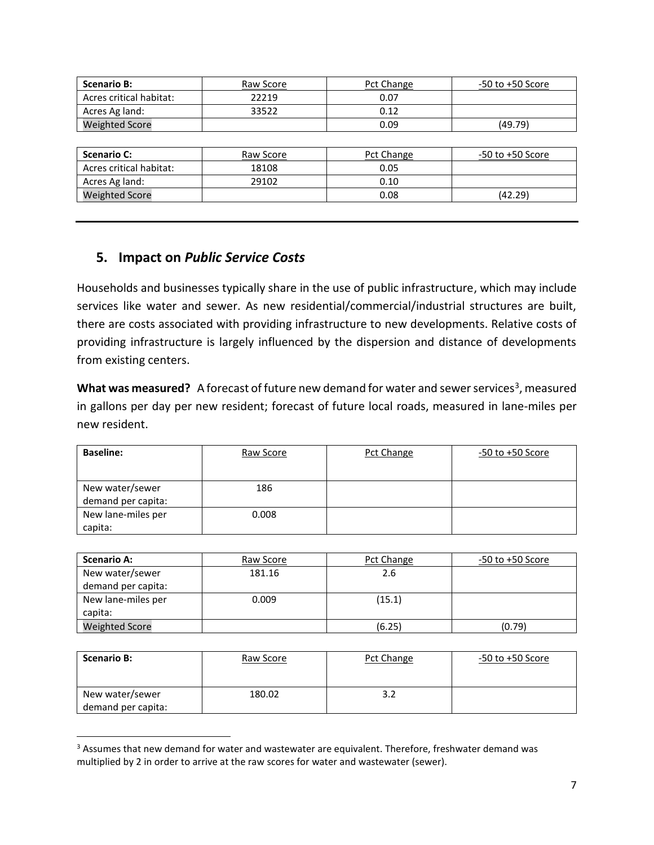| <b>Scenario B:</b>      | Raw Score | Pct Change | $-50$ to $+50$ Score |
|-------------------------|-----------|------------|----------------------|
| Acres critical habitat: | 22219     | 0.07       |                      |
| Acres Ag land:          | 33522     | 0.12       |                      |
| <b>Weighted Score</b>   |           | 0.09       | (49.79)              |
|                         |           |            |                      |
| <b>Scenario C:</b>      | Raw Score | Pct Change | $-50$ to $+50$ Score |
| Acres critical habitat: | 18108     | 0.05       |                      |
| Acres Ag land:          | 29102     | 0.10       |                      |
| <b>Weighted Score</b>   |           | 0.08       | (42.29)              |

### **5. Impact on** *Public Service Costs*

 $\overline{\phantom{a}}$ 

Households and businesses typically share in the use of public infrastructure, which may include services like water and sewer. As new residential/commercial/industrial structures are built, there are costs associated with providing infrastructure to new developments. Relative costs of providing infrastructure is largely influenced by the dispersion and distance of developments from existing centers.

What was measured? A forecast of future new demand for water and sewer services<sup>3</sup>, measured in gallons per day per new resident; forecast of future local roads, measured in lane-miles per new resident.

| <b>Baseline:</b>   | Raw Score | Pct Change | $-50$ to $+50$ Score |
|--------------------|-----------|------------|----------------------|
|                    |           |            |                      |
| New water/sewer    | 186       |            |                      |
| demand per capita: |           |            |                      |
| New lane-miles per | 0.008     |            |                      |
| capita:            |           |            |                      |

| <b>Scenario A:</b>    | Raw Score | Pct Change | $-50$ to $+50$ Score |
|-----------------------|-----------|------------|----------------------|
| New water/sewer       | 181.16    | 2.6        |                      |
| demand per capita:    |           |            |                      |
| New lane-miles per    | 0.009     | (15.1)     |                      |
| capita:               |           |            |                      |
| <b>Weighted Score</b> |           | (6.25)     | (0.79)               |

| <b>Scenario B:</b>                    | Raw Score | Pct Change | $-50$ to $+50$ Score |
|---------------------------------------|-----------|------------|----------------------|
| New water/sewer<br>demand per capita: | 180.02    | 3.2        |                      |

<sup>&</sup>lt;sup>3</sup> Assumes that new demand for water and wastewater are equivalent. Therefore, freshwater demand was multiplied by 2 in order to arrive at the raw scores for water and wastewater (sewer).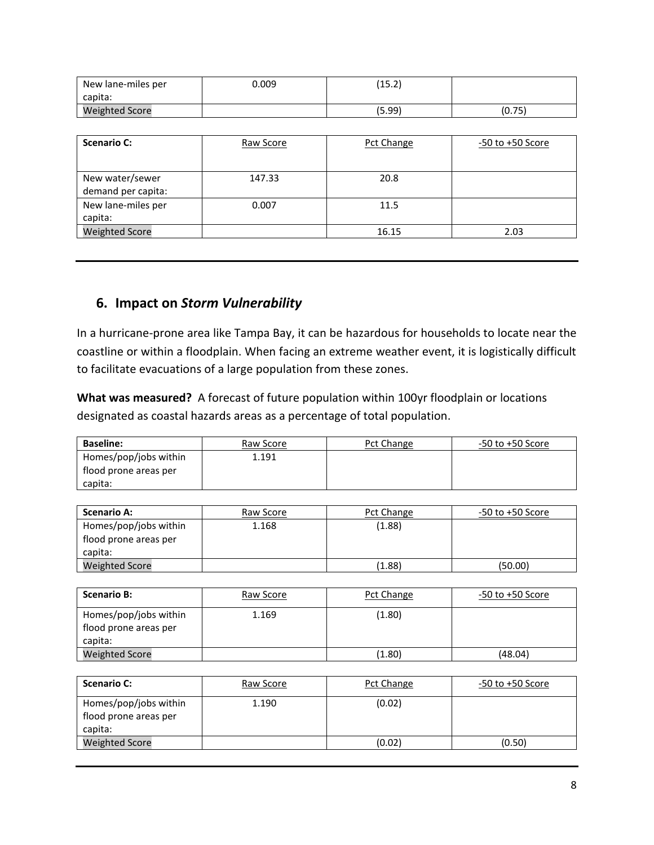| New lane-miles per<br>capita: | 0.009 | (イヒ つ)<br>ے.د⊥ |        |
|-------------------------------|-------|----------------|--------|
| <b>Weighted Score</b>         |       | (5.99)         | (0.75) |

| <b>Scenario C:</b>    | Raw Score | Pct Change | $-50$ to $+50$ Score |
|-----------------------|-----------|------------|----------------------|
|                       |           |            |                      |
| New water/sewer       | 147.33    | 20.8       |                      |
| demand per capita:    |           |            |                      |
| New lane-miles per    | 0.007     | 11.5       |                      |
| capita:               |           |            |                      |
| <b>Weighted Score</b> |           | 16.15      | 2.03                 |

### **6. Impact on** *Storm Vulnerability*

In a hurricane-prone area like Tampa Bay, it can be hazardous for households to locate near the coastline or within a floodplain. When facing an extreme weather event, it is logistically difficult to facilitate evacuations of a large population from these zones.

**What was measured?** A forecast of future population within 100yr floodplain or locations designated as coastal hazards areas as a percentage of total population.

| <b>Baseline:</b>                               | Raw Score | Pct Change | -50 to +50 Score |
|------------------------------------------------|-----------|------------|------------------|
| Homes/pop/jobs within<br>flood prone areas per | 1.191     |            |                  |
| capita:                                        |           |            |                  |

| <b>Scenario A:</b>    | Raw Score | Pct Change | $-50$ to $+50$ Score |
|-----------------------|-----------|------------|----------------------|
| Homes/pop/jobs within | 1.168     | (1.88)     |                      |
| flood prone areas per |           |            |                      |
| capita:               |           |            |                      |
| <b>Weighted Score</b> |           | (1.88)     | (50.00)              |

| <b>Scenario B:</b>                                        | Raw Score | Pct Change | $-50$ to $+50$ Score |
|-----------------------------------------------------------|-----------|------------|----------------------|
| Homes/pop/jobs within<br>flood prone areas per<br>capita: | 1.169     | (1.80)     |                      |
| <b>Weighted Score</b>                                     |           | (1.80)     | (48.04)              |

| <b>Scenario C:</b>                                        | Raw Score | Pct Change | $-50$ to $+50$ Score |
|-----------------------------------------------------------|-----------|------------|----------------------|
| Homes/pop/jobs within<br>flood prone areas per<br>capita: | 1.190     | (0.02)     |                      |
| <b>Weighted Score</b>                                     |           | (0.02)     | (0.50)               |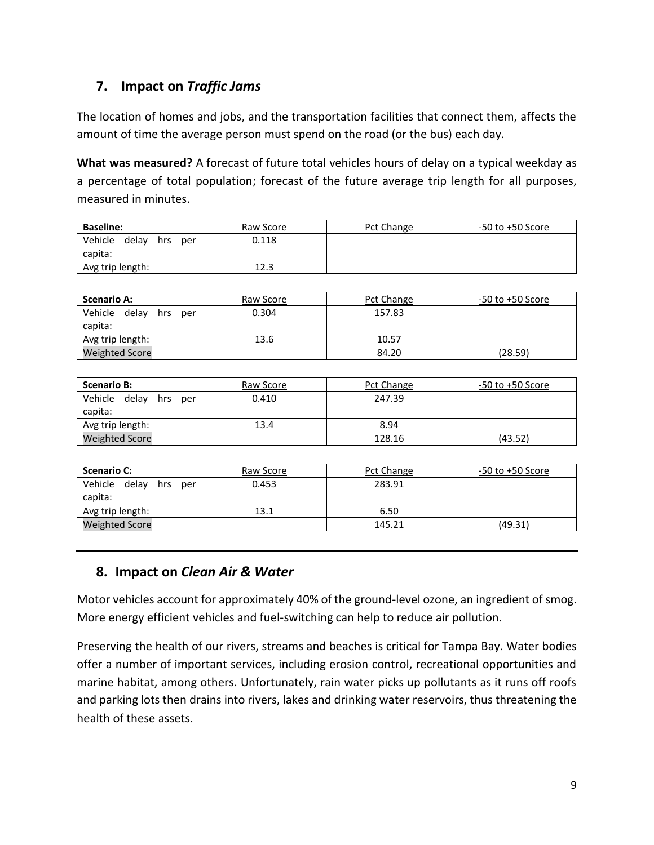# **7. Impact on** *Traffic Jams*

The location of homes and jobs, and the transportation facilities that connect them, affects the amount of time the average person must spend on the road (or the bus) each day.

**What was measured?** A forecast of future total vehicles hours of delay on a typical weekday as a percentage of total population; forecast of the future average trip length for all purposes, measured in minutes.

| <b>Baseline:</b>                          | Raw Score | Pct Change | $-50$ to $+50$ Score |
|-------------------------------------------|-----------|------------|----------------------|
| Vehicle<br>delav<br>per<br>hrs<br>capita: | 0.118     |            |                      |
| Avg trip length:                          | 12.3      |            |                      |

| <b>Scenario A:</b>             | Raw Score | Pct Change | $-50$ to $+50$ Score |
|--------------------------------|-----------|------------|----------------------|
| Vehicle<br>delay<br>hrs<br>per | 0.304     | 157.83     |                      |
| capita:                        |           |            |                      |
| Avg trip length:               | 13.6      | 10.57      |                      |
| <b>Weighted Score</b>          |           | 84.20      | (28.59)              |

| <b>Scenario B:</b>                        | Raw Score | Pct Change | -50 to +50 Score |
|-------------------------------------------|-----------|------------|------------------|
| Vehicle<br>delav<br>hrs<br>per<br>capita: | 0.410     | 247.39     |                  |
| Avg trip length:                          | 13.4      | 8.94       |                  |
| <b>Weighted Score</b>                     |           | 128.16     | (43.52)          |

| <b>Scenario C:</b>             | Raw Score | Pct Change | $-50$ to $+50$ Score |
|--------------------------------|-----------|------------|----------------------|
| Vehicle<br>delav<br>hrs<br>per | 0.453     | 283.91     |                      |
| capita:                        |           |            |                      |
| Avg trip length:               | 13.1      | 6.50       |                      |
| <b>Weighted Score</b>          |           | 145.21     | (49.31)              |

## **8. Impact on** *Clean Air & Water*

Motor vehicles account for approximately 40% of the ground-level ozone, an ingredient of smog. More energy efficient vehicles and fuel-switching can help to reduce air pollution.

Preserving the health of our rivers, streams and beaches is critical for Tampa Bay. Water bodies offer a number of important services, including erosion control, recreational opportunities and marine habitat, among others. Unfortunately, rain water picks up pollutants as it runs off roofs and parking lots then drains into rivers, lakes and drinking water reservoirs, thus threatening the health of these assets.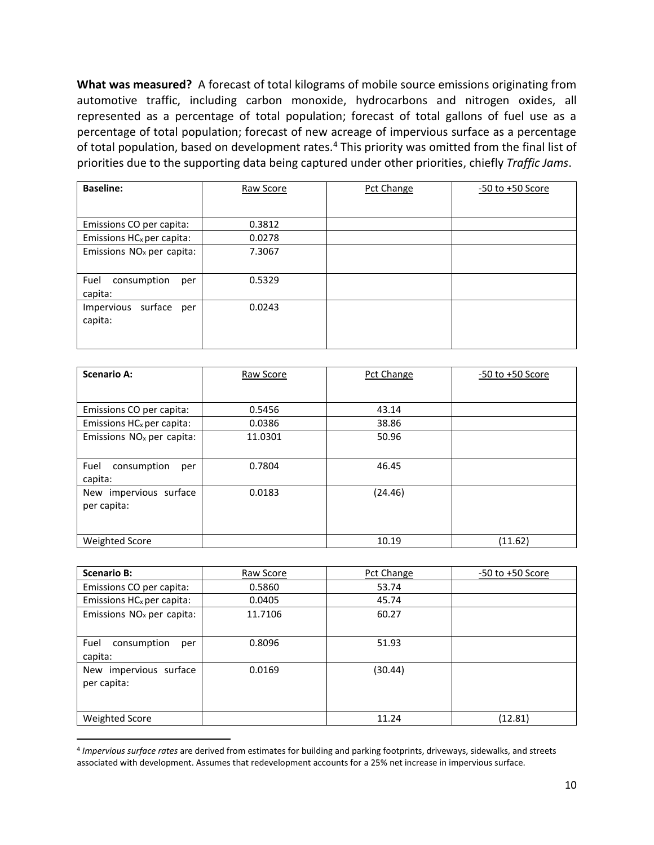**What was measured?** A forecast of total kilograms of mobile source emissions originating from automotive traffic, including carbon monoxide, hydrocarbons and nitrogen oxides, all represented as a percentage of total population; forecast of total gallons of fuel use as a percentage of total population; forecast of new acreage of impervious surface as a percentage of total population, based on development rates.<sup>4</sup> This priority was omitted from the final list of priorities due to the supporting data being captured under other priorities, chiefly *Traffic Jams*.

| <b>Baseline:</b>                        | Raw Score | Pct Change | $-50$ to $+50$ Score |
|-----------------------------------------|-----------|------------|----------------------|
|                                         |           |            |                      |
| Emissions CO per capita:                | 0.3812    |            |                      |
| Emissions HC <sub>x</sub> per capita:   | 0.0278    |            |                      |
| Emissions NO <sub>x</sub> per capita:   | 7.3067    |            |                      |
| Fuel<br>consumption<br>per<br>capita:   | 0.5329    |            |                      |
| Impervious<br>surface<br>per<br>capita: | 0.0243    |            |                      |

| <b>Scenario A:</b>                    | Raw Score | <b>Pct Change</b> | $-50$ to $+50$ Score |
|---------------------------------------|-----------|-------------------|----------------------|
|                                       |           |                   |                      |
| Emissions CO per capita:              | 0.5456    | 43.14             |                      |
| Emissions HC <sub>x</sub> per capita: | 0.0386    | 38.86             |                      |
| Emissions NO <sub>x</sub> per capita: | 11.0301   | 50.96             |                      |
|                                       |           |                   |                      |
| Fuel<br>consumption<br>per            | 0.7804    | 46.45             |                      |
| capita:                               |           |                   |                      |
| New impervious surface                | 0.0183    | (24.46)           |                      |
| per capita:                           |           |                   |                      |
|                                       |           |                   |                      |
| Weighted Score                        |           | 10.19             | (11.62)              |

| <b>Scenario B:</b>                    | Raw Score | Pct Change | -50 to +50 Score |
|---------------------------------------|-----------|------------|------------------|
| Emissions CO per capita:              | 0.5860    | 53.74      |                  |
| Emissions HC <sub>x</sub> per capita: | 0.0405    | 45.74      |                  |
| Emissions NO <sub>x</sub> per capita: | 11.7106   | 60.27      |                  |
| Fuel<br>consumption<br>per<br>capita: | 0.8096    | 51.93      |                  |
| New impervious surface<br>per capita: | 0.0169    | (30.44)    |                  |
| <b>Weighted Score</b>                 |           | 11.24      | (12.81)          |

<sup>4</sup> *Impervious surface rates* are derived from estimates for building and parking footprints, driveways, sidewalks, and streets associated with development. Assumes that redevelopment accounts for a 25% net increase in impervious surface.

 $\overline{a}$